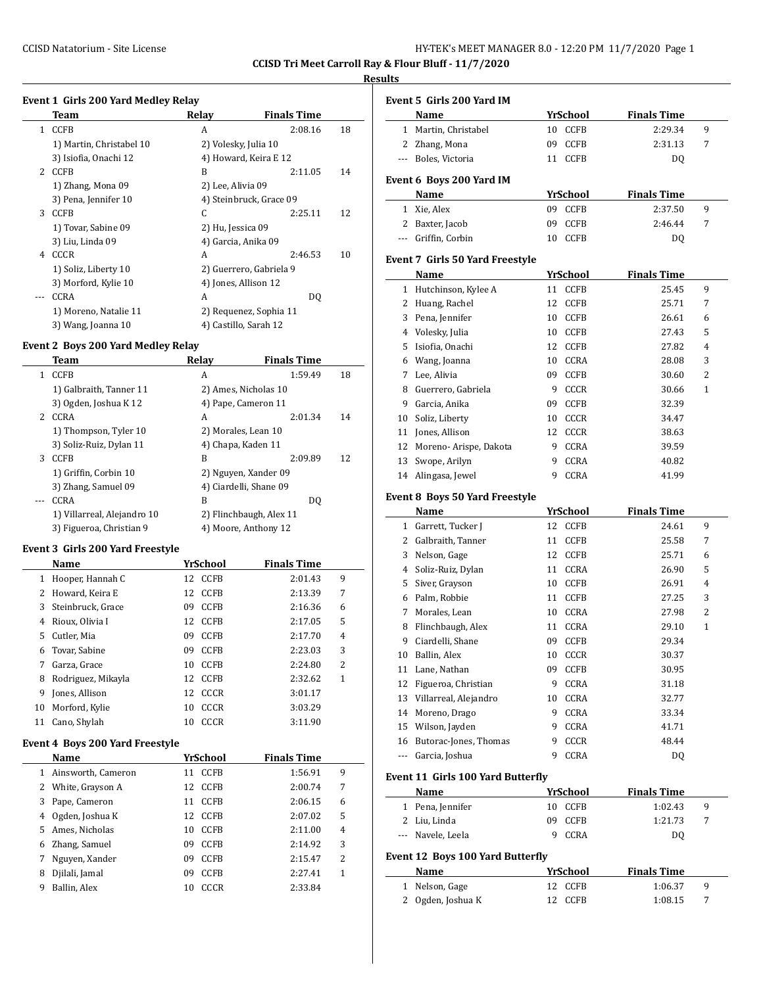**CCISD Tri Meet Carroll Ray & Flour Bluff - 11/7/2020**

#### **Results**

# **Event 1 Girls 200 Yard Medley Relay**

|              | Team                     | Relay                 | <b>Finals Time</b>      |    |
|--------------|--------------------------|-----------------------|-------------------------|----|
| $\mathbf{1}$ | CCFB                     | A                     | 2:08.16                 | 18 |
|              | 1) Martin, Christabel 10 | 2) Volesky, Julia 10  |                         |    |
|              | 3) Isiofia, Onachi 12    |                       | 4) Howard, Keira E 12   |    |
| 2            | <b>CCFB</b>              | B                     | 2:11.05                 | 14 |
|              | 1) Zhang, Mona 09        | 2) Lee, Alivia 09     |                         |    |
|              | 3) Pena, Jennifer 10     |                       | 4) Steinbruck, Grace 09 |    |
| 3            | <b>CCFB</b>              | C                     | 2:25.11                 | 12 |
|              | 1) Tovar, Sabine 09      | 2) Hu, Jessica 09     |                         |    |
|              | 3) Liu, Linda 09         | 4) Garcia, Anika 09   |                         |    |
| 4            | CCCR                     | A                     | 2:46.53                 | 10 |
|              | 1) Soliz, Liberty 10     |                       | 2) Guerrero, Gabriela 9 |    |
|              | 3) Morford, Kylie 10     | 4) Jones, Allison 12  |                         |    |
| $---$        | CCRA                     | A                     | DQ                      |    |
|              | 1) Moreno, Natalie 11    |                       | 2) Requenez, Sophia 11  |    |
|              | 3) Wang, Joanna 10       | 4) Castillo, Sarah 12 |                         |    |

# **Event 2 Boys 200 Yard Medley Relay**

|   | Team                        | Relav | <b>Finals Time</b>      |    |
|---|-----------------------------|-------|-------------------------|----|
| 1 | <b>CCFB</b>                 | A     | 1:59.49                 | 18 |
|   | 1) Galbraith, Tanner 11     |       | 2) Ames, Nicholas 10    |    |
|   | 3) Ogden, Joshua K 12       |       | 4) Pape, Cameron 11     |    |
| 2 | <b>CCRA</b>                 | A     | 2:01.34                 | 14 |
|   | 1) Thompson, Tyler 10       |       | 2) Morales, Lean 10     |    |
|   | 3) Soliz-Ruiz, Dylan 11     |       | 4) Chapa, Kaden 11      |    |
| 3 | <b>CCFB</b>                 | B     | 2:09.89                 | 12 |
|   | 1) Griffin, Corbin 10       |       | 2) Nguyen, Xander 09    |    |
|   | 3) Zhang, Samuel 09         |       | 4) Ciardelli, Shane 09  |    |
|   | CCRA                        | B     | DO.                     |    |
|   | 1) Villarreal, Alejandro 10 |       | 2) Flinchbaugh, Alex 11 |    |
|   | 3) Figueroa, Christian 9    |       | 4) Moore, Anthony 12    |    |

#### **Event 3 Girls 200 Yard Freestyle**

|    | Name               |     | <b>YrSchool</b> | <b>Finals Time</b> |   |
|----|--------------------|-----|-----------------|--------------------|---|
| 1  | Hooper, Hannah C   | 12. | <b>CCFB</b>     | 2:01.43            | 9 |
| 2  | Howard, Keira E    | 12. | <b>CCFB</b>     | 2:13.39            | 7 |
| 3  | Steinbruck, Grace  | 09  | <b>CCFB</b>     | 2:16.36            | 6 |
| 4  | Rioux, Olivia I    | 12  | <b>CCFB</b>     | 2:17.05            | 5 |
| 5  | Cutler. Mia        | 09  | <b>CCFB</b>     | 2:17.70            | 4 |
| 6  | Tovar, Sabine      | 09  | <b>CCFB</b>     | 2:23.03            | 3 |
| 7  | Garza, Grace       | 10  | <b>CCFB</b>     | 2:24.80            | 2 |
| 8  | Rodriguez, Mikayla | 12. | <b>CCFB</b>     | 2:32.62            | 1 |
| 9  | Jones, Allison     | 12  | CCCR            | 3:01.17            |   |
| 10 | Morford, Kylie     | 10  | CCCR            | 3:03.29            |   |
| 11 | Cano, Shylah       | 10  | CCCR            | 3:11.90            |   |

#### **Event 4 Boys 200 Yard Freestyle**

|   | Name               | YrSchool |             | <b>Finals Time</b> |         |   |
|---|--------------------|----------|-------------|--------------------|---------|---|
| 1 | Ainsworth, Cameron | 11       | <b>CCFB</b> |                    | 1:56.91 | 9 |
| 2 | White, Grayson A   | 12.      | <b>CCFB</b> |                    | 2:00.74 | 7 |
| 3 | Pape, Cameron      | 11       | <b>CCFB</b> |                    | 2:06.15 | 6 |
| 4 | Ogden, Joshua K    | 12       | <b>CCFB</b> |                    | 2:07.02 | 5 |
| 5 | Ames, Nicholas     | 10       | <b>CCFB</b> |                    | 2:11.00 | 4 |
| 6 | Zhang, Samuel      | 09       | <b>CCFB</b> |                    | 2:14.92 | 3 |
| 7 | Nguyen, Xander     | 09       | <b>CCFB</b> |                    | 2:15.47 | 2 |
| 8 | Djilali, Jamal     | 09       | <b>CCFB</b> |                    | 2:27.41 | 1 |
| 9 | Ballin, Alex       | 10       | CCCR        |                    | 2:33.84 |   |

|    | Event 5 Girls 200 Yard IM               |                               |                               |              |
|----|-----------------------------------------|-------------------------------|-------------------------------|--------------|
|    | Name                                    | YrSchool                      | <b>Finals Time</b>            |              |
|    | 1 Martin, Christabel                    | CCFB<br>10                    | 2:29.34                       | 9            |
|    | 2 Zhang, Mona                           | 09<br><b>CCFB</b>             | 2:31.13                       | 7            |
|    | --- Boles, Victoria                     | 11 CCFB                       | DQ                            |              |
|    | Event 6 Boys 200 Yard IM                |                               |                               |              |
|    | <b>Name</b>                             | YrSchool                      | <b>Finals Time</b>            |              |
|    | 1 Xie, Alex                             | 09 CCFB                       | 2:37.50                       | 9            |
|    | 2 Baxter, Jacob                         | 09<br>CCFB                    | 2:46.44                       | 7            |
|    | --- Griffin, Corbin                     | 10 CCFB                       | DQ                            |              |
|    | Event 7 Girls 50 Yard Freestyle         |                               |                               |              |
|    | Name                                    | <u>YrSchool</u>               | <b>Finals Time</b>            |              |
|    | 1 Hutchinson, Kylee A                   | 11 CCFB                       | 25.45                         | 9            |
|    | 2 Huang, Rachel                         | <b>CCFB</b><br>12             | 25.71                         | 7            |
|    | 3 Pena, Jennifer                        | <b>CCFB</b><br>10             | 26.61                         | 6            |
|    | 4 Volesky, Julia                        | <b>CCFB</b><br>10             | 27.43                         | 5            |
|    | 5 Isiofia, Onachi                       | 12<br><b>CCFB</b>             | 27.82                         | 4            |
|    | 6 Wang, Joanna                          | CCRA<br>10                    | 28.08                         | 3            |
|    | 7 Lee, Alivia                           | 09 CCFB                       | 30.60                         | 2            |
|    | 8 Guerrero, Gabriela                    | 9 CCCR                        | 30.66                         | 1            |
|    | 9 Garcia, Anika                         | 09 CCFB                       | 32.39                         |              |
|    | 10 Soliz, Liberty                       | 10 CCCR                       | 34.47                         |              |
|    | 11 Jones, Allison                       | 12 CCCR                       | 38.63                         |              |
|    | 12 Moreno- Arispe, Dakota               | 9 CCRA                        | 39.59                         |              |
|    | 13 Swope, Arilyn                        | 9<br>CCRA                     | 40.82                         |              |
|    | 14 Alingasa, Jewel                      | 9<br><b>CCRA</b>              | 41.99                         |              |
|    | Event 8 Boys 50 Yard Freestyle          |                               |                               |              |
|    | Name                                    | <b>YrSchool</b>               | <b>Finals Time</b>            |              |
|    | 1 Garrett, Tucker J                     | 12<br>CCFB                    | 24.61                         | 9            |
|    | 2 Galbraith, Tanner                     | 11<br>CCFB                    | 25.58                         | 7            |
|    | 3 Nelson, Gage                          | 12<br>CCFB                    | 25.71                         | 6            |
|    | 4 Soliz-Ruiz, Dylan                     | 11 CCRA                       | 26.90                         | 5            |
|    | 5 Siver, Grayson                        | 10 CCFB                       | 26.91                         | 4            |
|    | 6 Palm, Robbie                          | 11 CCFB                       | 27.25                         | 3            |
|    | 7 Morales, Lean                         | 10 CCRA                       | 27.98                         | 2            |
|    | 8 Flinchbaugh, Alex                     | 11<br><b>CCRA</b>             | 29.10                         | $\mathbf{1}$ |
| 9  | Ciardelli, Shane                        | 09<br><b>CCFB</b>             | 29.34                         |              |
| 10 | Ballin, Alex                            | CCCR<br>10                    | 30.37                         |              |
| 11 | Lane, Nathan                            | 09<br>CCFB                    | 30.95                         |              |
| 12 | Figueroa, Christian                     | CCRA<br>9                     | 31.18                         |              |
|    | 13 Villarreal, Alejandro                | CCRA<br>10                    | 32.77                         |              |
|    | 14 Moreno, Drago                        | CCRA<br>9                     | 33.34                         |              |
|    | 15 Wilson, Jayden                       | CCRA<br>9                     | 41.71                         |              |
|    | 16 Butorac-Jones, Thomas                | CCCR<br>9                     | 48.44                         |              |
|    | --- Garcia, Joshua                      | CCRA<br>9                     | DQ                            |              |
|    |                                         |                               |                               |              |
|    | Event 11 Girls 100 Yard Butterfly       | <b>YrSchool</b>               | <b>Finals Time</b>            |              |
|    |                                         |                               |                               |              |
|    | Name                                    |                               |                               |              |
|    | 1 Pena, Jennifer                        | 10 CCFB                       | 1:02.43                       | 9            |
|    | 2 Liu, Linda<br>--- Navele, Leela       | 09<br>CCFB<br>CCRA<br>9       | 1:21.73<br>DQ                 | 7            |
|    |                                         |                               |                               |              |
|    | <b>Event 12 Boys 100 Yard Butterfly</b> |                               |                               |              |
|    | Name<br>1 Nelson, Gage                  | <b>YrSchool</b><br>CCFB<br>12 | <b>Finals Time</b><br>1:06.37 | 9            |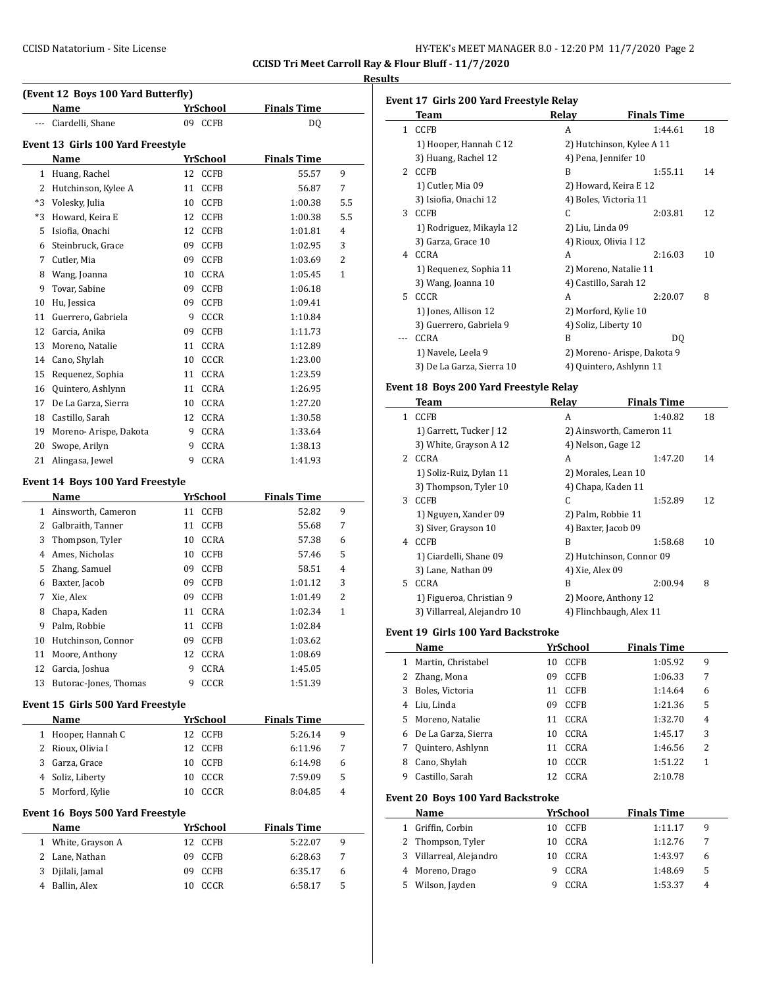**CCISD Tri Meet Carroll Ray & Flour Bluff - 11/7/2020**

# **Results**

|        | (Event 12 Boys 100 Yard Butterfly)      |                         |                    |        |
|--------|-----------------------------------------|-------------------------|--------------------|--------|
|        | Name                                    | <u>YrSchool -</u>       | <b>Finals Time</b> |        |
| ---    | Ciardelli, Shane                        | 09 CCFB                 | DQ                 |        |
|        |                                         |                         |                    |        |
|        | Event 13 Girls 100 Yard Freestyle       |                         |                    |        |
|        | Name                                    | <b>YrSchool</b>         | <b>Finals Time</b> |        |
|        | 1 Huang, Rachel                         | 12 CCFB                 | 55.57              | 9      |
|        | 2 Hutchinson, Kylee A                   | 11 CCFB                 | 56.87              | 7      |
|        | *3 Volesky, Julia                       | 10<br>CCFB              | 1:00.38            | 5.5    |
|        | *3 Howard, Keira E                      | 12 CCFB                 | 1:00.38            | 5.5    |
|        | 5 Isiofia, Onachi                       | 12<br>CCFB              | 1:01.81            | 4      |
|        | 6 Steinbruck, Grace                     | 09 CCFB                 | 1:02.95            | 3      |
|        | 7 Cutler, Mia                           | 09 CCFB                 | 1:03.69            | 2      |
|        | 8 Wang, Joanna                          | 10 CCRA                 | 1:05.45            | 1      |
| 9      | Tovar, Sabine                           | 09 CCFB                 | 1:06.18            |        |
| 10     | Hu, Jessica                             | 09<br>CCFB              | 1:09.41            |        |
|        | 11 Guerrero, Gabriela                   | 9<br>CCCR               | 1:10.84            |        |
|        | 12 Garcia, Anika                        | 09 CCFB                 | 1:11.73            |        |
|        | 13 Moreno, Natalie                      | 11<br>CCRA              | 1:12.89            |        |
|        | 14 Cano, Shylah                         | 10 CCCR                 | 1:23.00            |        |
|        | 15 Requenez, Sophia                     | CCRA<br>11              | 1:23.59            |        |
| 16     | Quintero, Ashlynn                       | CCRA<br>11              | 1:26.95            |        |
|        | 17 De La Garza, Sierra                  | 10<br>CCRA              | 1:27.20            |        |
|        | 18 Castillo, Sarah                      | 12 CCRA                 | 1:30.58            |        |
|        | 19 Moreno- Arispe, Dakota               | 9<br>CCRA               | 1:33.64            |        |
| 20     | Swope, Arilyn                           | <b>CCRA</b><br>9        | 1:38.13            |        |
| 21     | Alingasa, Jewel                         | 9<br>CCRA               | 1:41.93            |        |
|        | <b>Event 14 Boys 100 Yard Freestyle</b> |                         |                    |        |
|        | Name                                    | <u>YrSchool</u>         | <b>Finals Time</b> |        |
|        | 1 Ainsworth, Cameron                    | 11 CCFB                 | 52.82              | 9      |
|        | 2 Galbraith, Tanner                     |                         | 55.68              | 7      |
|        |                                         | 11 CCFB                 |                    |        |
| 3      |                                         | 10 CCRA                 | 57.38              | 6      |
|        | Thompson, Tyler<br>4 Ames, Nicholas     | 10 CCFB                 | 57.46              | 5      |
|        |                                         | 09 CCFB                 | 58.51              | 4      |
|        | 5 Zhang, Samuel<br>6 Baxter, Jacob      | 09<br>CCFB              | 1:01.12            | 3      |
|        |                                         |                         |                    |        |
| 7<br>8 | Xie, Alex                               | 09<br>CCFB<br>11        | 1:01.49<br>1:02.34 | 2<br>1 |
| 9      | Chapa, Kaden                            | <b>CCRA</b>             |                    |        |
|        | Palm, Robbie                            | 11 CCFB                 | 1:02.84            |        |
| 10     | Hutchinson, Connor                      | 09<br><b>CCFB</b><br>12 | 1:03.62            |        |
| 11     | Moore, Anthony                          | CCRA<br>9               | 1:08.69            |        |
| 12     | Garcia, Joshua                          | CCRA                    | 1:45.05            |        |
| 13     | Butorac-Jones, Thomas                   | 9<br><b>CCCR</b>        | 1:51.39            |        |
|        | Event 15 Girls 500 Yard Freestyle       |                         |                    |        |
|        | Name                                    | YrSchool                | <b>Finals Time</b> |        |
|        | 1 Hooper, Hannah C                      | 12 CCFB                 | 5:26.14            | 9      |
|        | 2 Rioux, Olivia I                       | 12<br><b>CCFB</b>       | 6:11.96            | 7      |
|        | 3 Garza, Grace                          | 10<br>CCFB              | 6:14.98            | 6      |
|        | 4 Soliz, Liberty                        | 10<br>CCCR              | 7:59.09            | 5      |
| 5      | Morford, Kylie                          | CCCR<br>10              | 8:04.85            | 4      |
|        | Event 16 Boys 500 Yard Freestyle        |                         |                    |        |
|        | Name                                    | <b>YrSchool</b>         | <b>Finals Time</b> |        |
| 1      | White, Grayson A                        | <b>CCFB</b><br>12       | 5:22.07            | 9      |
| 2      | Lane, Nathan                            | 09<br>CCFB              | 6:28.63            | 7      |
| 3      | Djilali, Jamal                          | 09<br>CCFB              | 6:35.17            | 6      |

|              | <b>Team</b>                                             |    | Relay                                     | <b>Finals Time</b>                              |    |
|--------------|---------------------------------------------------------|----|-------------------------------------------|-------------------------------------------------|----|
| $\mathbf{1}$ | <b>CCFB</b>                                             |    | A                                         | 1:44.61                                         | 18 |
|              | 1) Hooper, Hannah C 12                                  |    |                                           | 2) Hutchinson, Kylee A 11                       |    |
|              | 3) Huang, Rachel 12                                     |    | 4) Pena, Jennifer 10                      |                                                 |    |
|              | 2 CCFB                                                  |    | B                                         | 1:55.11                                         | 14 |
|              | 1) Cutler, Mia 09                                       |    |                                           | 2) Howard, Keira E 12                           |    |
|              | 3) Isiofia, Onachi 12                                   |    | 4) Boles, Victoria 11                     |                                                 |    |
|              | 3 CCFB                                                  |    | C                                         | 2:03.81                                         | 12 |
|              | 1) Rodriguez, Mikayla 12                                |    | 2) Liu, Linda 09                          |                                                 |    |
|              | 3) Garza, Grace 10                                      |    | 4) Rioux, Olivia I 12                     |                                                 |    |
|              | 4 CCRA                                                  |    | A                                         | 2:16.03                                         | 10 |
|              | 1) Requenez, Sophia 11                                  |    |                                           | 2) Moreno, Natalie 11                           |    |
|              | 3) Wang, Joanna 10                                      |    | 4) Castillo, Sarah 12                     |                                                 |    |
|              | 5 CCCR                                                  |    | A                                         | 2:20.07                                         | 8  |
|              | 1) Jones, Allison 12                                    |    | 2) Morford, Kylie 10                      |                                                 |    |
|              | 3) Guerrero, Gabriela 9                                 |    | 4) Soliz, Liberty 10                      |                                                 |    |
| ---          | <b>CCRA</b>                                             |    | B                                         | DQ                                              |    |
|              | 1) Navele, Leela 9                                      |    |                                           | 2) Moreno- Arispe, Dakota 9                     |    |
|              | 3) De La Garza, Sierra 10                               |    |                                           | 4) Quintero, Ashlynn 11                         |    |
|              | Event 18 Boys 200 Yard Freestyle Relay                  |    |                                           |                                                 |    |
|              | Team                                                    |    | Relay                                     | <b>Finals Time</b>                              |    |
|              | 1 CCFB                                                  |    | A                                         | 1:40.82                                         | 18 |
|              |                                                         |    |                                           |                                                 |    |
|              | 1) Garrett, Tucker J 12<br>3) White, Grayson A 12       |    | 4) Nelson, Gage 12                        | 2) Ainsworth, Cameron 11                        |    |
|              | 2 CCRA                                                  |    | A                                         | 1:47.20                                         | 14 |
|              |                                                         |    |                                           |                                                 |    |
|              | 1) Soliz-Ruiz, Dylan 11<br>3) Thompson, Tyler 10        |    | 2) Morales, Lean 10<br>4) Chapa, Kaden 11 |                                                 |    |
|              | 3 CCFB                                                  |    | C                                         | 1:52.89                                         | 12 |
|              |                                                         |    |                                           |                                                 |    |
|              | 1) Nguyen, Xander 09<br>3) Siver, Grayson 10            |    | 2) Palm, Robbie 11<br>4) Baxter, Jacob 09 |                                                 |    |
|              | 4 CCFB                                                  |    | B                                         | 1:58.68                                         | 10 |
|              |                                                         |    |                                           |                                                 |    |
|              | 1) Ciardelli, Shane 09                                  |    | 4) Xie, Alex 09                           | 2) Hutchinson, Connor 09                        |    |
|              | 3) Lane, Nathan 09<br>5 CCRA                            |    | B                                         | 2:00.94                                         | 8  |
|              |                                                         |    |                                           |                                                 |    |
|              | 1) Figueroa, Christian 9<br>3) Villarreal, Alejandro 10 |    |                                           | 2) Moore, Anthony 12<br>4) Flinchbaugh, Alex 11 |    |
|              |                                                         |    |                                           |                                                 |    |
|              | <b>Event 19 Girls 100 Yard Backstroke</b>               |    |                                           |                                                 |    |
|              | <b>Name</b>                                             |    | <b>YrSchool</b>                           | <b>Finals Time</b>                              |    |
| $\mathbf{1}$ | Martin, Christabel                                      | 10 | CCFB                                      | 1:05.92                                         | 9  |
|              | 2 Zhang, Mona                                           | 09 | CCFB                                      | 1:06.33                                         | 7  |
|              | 3 Boles, Victoria                                       | 11 | CCFB                                      | 1:14.64                                         | 6  |
|              | 4 Liu, Linda                                            | 09 | CCFB                                      | 1:21.36                                         | 5  |
|              | 5 Moreno, Natalie                                       | 11 | CCRA                                      | 1:32.70                                         | 4  |
|              | 6 De La Garza, Sierra                                   | 10 | CCRA                                      | 1:45.17                                         | 3  |
|              | 7 Quintero, Ashlynn                                     | 11 | CCRA                                      | 1:46.56                                         | 2  |
|              | 8 Cano, Shylah                                          | 10 | CCCR                                      | 1:51.22                                         | 1  |
| 9.           | Castillo, Sarah                                         | 12 | CCRA                                      | 2:10.78                                         |    |
|              |                                                         |    |                                           |                                                 |    |
|              | <b>Event 20 Boys 100 Yard Backstroke</b>                |    |                                           |                                                 |    |
|              | Name                                                    |    | YrSchool                                  | <b>Finals Time</b>                              |    |
|              | 1 Griffin, Corbin                                       |    | 10 CCFB                                   | 1:11.17                                         | 9  |
|              | 2 Thompson, Tyler                                       | 10 | CCRA                                      | 1:12.76                                         | 7  |
|              | 3 Villarreal, Alejandro                                 | 10 | CCRA                                      | 1:43.97                                         | 6  |
|              | 4 Moreno, Drago                                         | 9  | CCRA                                      | 1:48.69                                         | 5  |
|              |                                                         |    |                                           |                                                 |    |
|              | 5 Wilson, Jayden                                        | 9. | CCRA                                      | 1:53.37                                         | 4  |